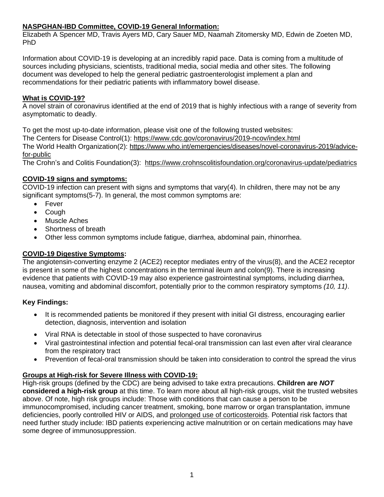## **NASPGHAN-IBD Committee, COVID-19 General Information:**

Elizabeth A Spencer MD, Travis Ayers MD, Cary Sauer MD, Naamah Zitomersky MD, Edwin de Zoeten MD, PhD

Information about COVID-19 is developing at an incredibly rapid pace. Data is coming from a multitude of sources including physicians, scientists, traditional media, social media and other sites. The following document was developed to help the general pediatric gastroenterologist implement a plan and recommendations for their pediatric patients with inflammatory bowel disease.

## **What is COVID-19?**

A novel strain of coronavirus identified at the end of 2019 that is highly infectious with a range of severity from asymptomatic to deadly.

To get the most up-to-date information, please visit one of the following trusted websites:

The Centers for Disease Control(1):<https://www.cdc.gov/coronavirus/2019-ncov/index.html>

The World Health Organization(2): [https://www.who.int/emergencies/diseases/novel-coronavirus-2019/advice](https://www.who.int/emergencies/diseases/novel-coronavirus-2019/advice-for-public)[for-public](https://www.who.int/emergencies/diseases/novel-coronavirus-2019/advice-for-public)

The Crohn's and Colitis Foundation(3): <https://www.crohnscolitisfoundation.org/coronavirus-update/pediatrics>

## **COVID-19 signs and symptoms:**

COVID-19 infection can present with signs and symptoms that vary(4). In children, there may not be any significant symptoms(5-7). In general, the most common symptoms are:

- Fever
- Cough
- Muscle Aches
- Shortness of breath
- Other less common symptoms include fatigue, diarrhea, abdominal pain, rhinorrhea.

# **COVID-19 Digestive Symptoms:**

The angiotensin-converting enzyme 2 (ACE2) receptor mediates entry of the virus(8), and the ACE2 receptor is present in some of the highest concentrations in the terminal ileum and colon(9). There is increasing evidence that patients with COVID-19 may also experience gastrointestinal symptoms, including diarrhea, nausea, vomiting and abdominal discomfort, potentially prior to the common respiratory symptoms *(10, 11)*.

## **Key Findings:**

- It is recommended patients be monitored if they present with initial GI distress, encouraging earlier detection, diagnosis, intervention and isolation
- Viral RNA is detectable in stool of those suspected to have coronavirus
- Viral gastrointestinal infection and potential fecal-oral transmission can last even after viral clearance from the respiratory tract
- Prevention of fecal-oral transmission should be taken into consideration to control the spread the virus

# **Groups at High-risk for Severe Illness with COVID-19:**

High-risk groups (defined by the CDC) are being advised to take extra precautions. **Children are** *NOT* **considered a high-risk group** at this time. To learn more about all high-risk groups, visit the trusted websites above. Of note, high risk groups include: Those with conditions that can cause a person to be immunocompromised, including cancer treatment, smoking, bone marrow or organ transplantation, immune deficiencies, poorly controlled HIV or AIDS, and prolonged use of corticosteroids. Potential risk factors that need further study include: IBD patients experiencing active malnutrition or on certain medications may have some degree of immunosuppression.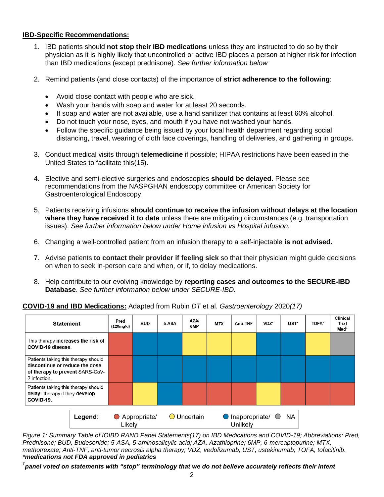### **IBD-Specific Recommendations:**

- 1. IBD patients should **not stop their IBD medications** unless they are instructed to do so by their physician as it is highly likely that uncontrolled or active IBD places a person at higher risk for infection than IBD medications (except prednisone). *See further information below*
- 2. Remind patients (and close contacts) of the importance of **strict adherence to the following**:
	- Avoid close contact with people who are sick.
	- Wash your hands with soap and water for at least 20 seconds.
	- If soap and water are not available, use a hand sanitizer that contains at least 60% alcohol.
	- Do not touch your nose, eyes, and mouth if you have not washed your hands.
	- Follow the specific guidance being issued by your local health department regarding social distancing, travel, wearing of cloth face coverings, handling of deliveries, and gathering in groups.
- 3. Conduct medical visits through **telemedicine** if possible; HIPAA restrictions have been eased in the United States to facilitate this(15).
- 4. Elective and semi-elective surgeries and endoscopies **should be delayed.** Please see recommendations from the NASPGHAN endoscopy committee or American Society for Gastroenterological Endoscopy.
- 5. Patients receiving infusions **should continue to receive the infusion without delays at the location where they have received it to date** unless there are mitigating circumstances (e.g. transportation issues). *See further information below under Home infusion vs Hospital infusion.*
- 6. Changing a well-controlled patient from an infusion therapy to a self-injectable **is not advised.**
- 7. Advise patients **to contact their provider if feeling sick** so that their physician might guide decisions on when to seek in-person care and when, or if, to delay medications.
- 8. Help contribute to our evolving knowledge by **reporting cases and outcomes to the SECURE-IBD Database**. *See further information below under SECURE-IBD.*



#### **COVID-19 and IBD Medications:** Adapted from Rubin *DT* et al*. Gastroenterology* 2020*(17)*

*Figure 1: Summary Table of IOIBD RAND Panel Statements(17) on IBD Medications and COVID-19; Abbreviations: Pred, Prednisone; BUD, Budesonide; 5-ASA, 5-aminosalicylic acid; AZA, Azathioprine; 6MP, 6-mercaptopurine; MTX, methotrexate; Anti-TNF, anti-tumor necrosis alpha therapy; VDZ, vedolizumab; UST, ustekinumab; TOFA, tofacitinib. \*medications not FDA approved in pediatrics*

*† panel voted on statements with "stop" terminology that we do not believe accurately reflects their intent*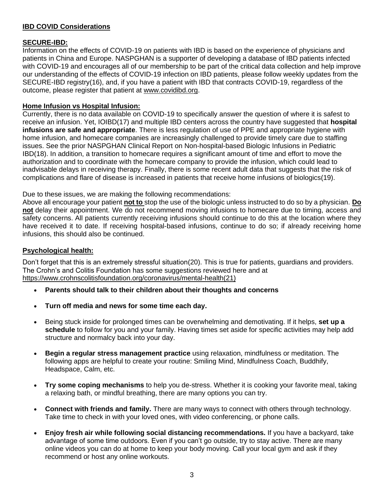### **IBD COVID Considerations**

## **SECURE-IBD:**

Information on the effects of COVID-19 on patients with IBD is based on the experience of physicians and patients in China and Europe. NASPGHAN is a supporter of developing a database of IBD patients infected with COVID-19 and encourages all of our membership to be part of the critical data collection and help improve our understanding of the effects of COVID-19 infection on IBD patients, please follow weekly updates from the SECURE-IBD registry(16), and, if you have a patient with IBD that contracts COVID-19, regardless of the outcome, please register that patient at [www.covidibd.org.](http://www.covidibd.org/)

## **Home Infusion vs Hospital Infusion:**

Currently, there is no data available on COVID-19 to specifically answer the question of where it is safest to receive an infusion. Yet, IOIBD(17) and multiple IBD centers across the country have suggested that **hospital infusions are safe and appropriate**. There is less regulation of use of PPE and appropriate hygiene with home infusion, and homecare companies are increasingly challenged to provide timely care due to staffing issues. See the prior NASPGHAN Clinical Report on Non-hospital-based Biologic Infusions in Pediatric IBD(18). In addition, a transition to homecare requires a significant amount of time and effort to move the authorization and to coordinate with the homecare company to provide the infusion, which could lead to inadvisable delays in receiving therapy. Finally, there is some recent adult data that suggests that the risk of complications and flare of disease is increased in patients that receive home infusions of biologics(19).

Due to these issues, we are making the following recommendations:

Above all encourage your patient **not to** stop the use of the biologic unless instructed to do so by a physician. **Do not** delay their appointment. We do not recommend moving infusions to homecare due to timing, access and safety concerns. All patients currently receiving infusions should continue to do this at the location where they have received it to date. If receiving hospital-based infusions, continue to do so; if already receiving home infusions, this should also be continued.

### **Psychological health:**

Don't forget that this is an extremely stressful situation(20). This is true for patients, guardians and providers. The Crohn's and Colitis Foundation has some suggestions reviewed here and at [https://www.crohnscolitisfoundation.org/coronavirus/mental-health\(](https://www.crohnscolitisfoundation.org/coronavirus/mental-health)21)

- **Parents should talk to their children about their thoughts and concerns**
- **Turn off media and news for some time each day.**
- Being stuck inside for prolonged times can be overwhelming and demotivating. If it helps, **set up a schedule** to follow for you and your family. Having times set aside for specific activities may help add structure and normalcy back into your day.
- **Begin a regular stress management practice** using relaxation, mindfulness or meditation. The following apps are helpful to create your routine: Smiling Mind, Mindfulness Coach, Buddhify, Headspace, Calm, etc.
- **Try some coping mechanisms** to help you de-stress. Whether it is cooking your favorite meal, taking a relaxing bath, or mindful breathing, there are many options you can try.
- **Connect with friends and family.** There are many ways to connect with others through technology. Take time to check in with your loved ones, with video conferencing, or phone calls.
- **Enjoy fresh air while following social distancing recommendations.** If you have a backyard, take advantage of some time outdoors. Even if you can't go outside, try to stay active. There are many online videos you can do at home to keep your body moving. Call your local gym and ask if they recommend or host any online workouts.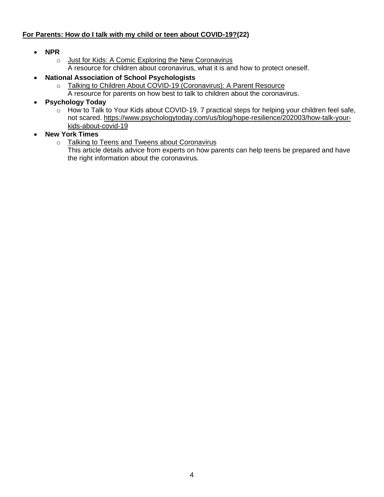## **For Parents: How do I talk with my child or teen about COVID-19?(22)**

- **NPR**
	- o [Just for Kids: A Comic Exploring the](https://www.npr.org/sections/goatsandsoda/2020/02/28/809580453/just-for-kids-a-comic-exploring-the-new-coronavirus) New Coronavirus A resource for children about coronavirus, what it is and how to protect oneself.
- **National Association of School Psychologists**
	- o [Talking to Children About COVID-19 \(Coronavirus\): A Parent Resource](https://www.nasponline.org/resources-and-publications/resources-and-podcasts/school-climate-safety-and-crisis/health-crisis-resources/talking-to-children-about-covid-19-(coronavirus)-a-parent-resource)
		- A resource for parents on how best to talk to children about the coronavirus.
- **Psychology Today**
	- o How to Talk to Your Kids about COVID-19. 7 practical steps for helping your children feel safe, not scared. [https://www.psychologytoday.com/us/blog/hope-resilience/202003/how-talk-your](https://www.psychologytoday.com/us/blog/hope-resilience/202003/how-talk-your-kids-about-covid-19)[kids-about-covid-19](https://www.psychologytoday.com/us/blog/hope-resilience/202003/how-talk-your-kids-about-covid-19)
- **New York Times**
	- o [Talking to Teens and Tweens about Coronavirus](https://www.nytimes.com/2020/03/02/well/family/coronavirus-teenagers-anxiety.html)

This article details advice from experts on how parents can help teens be prepared and have the right information about the coronavirus.